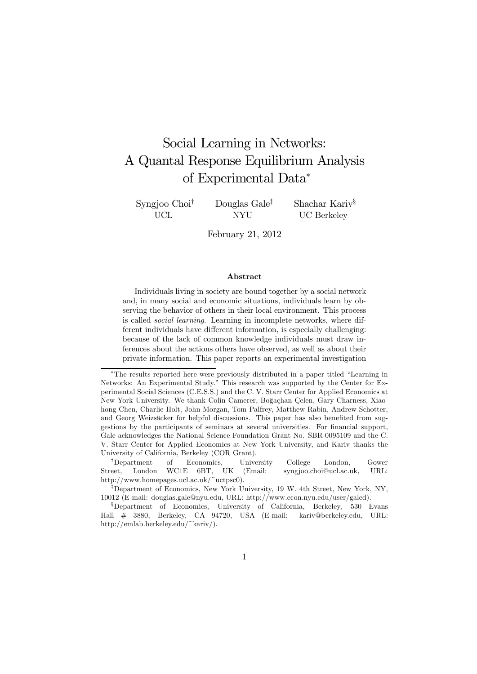# Social Learning in Networks: A Quantal Response Equilibrium Analysis of Experimental Data<sup>∗</sup>

Syngjoo Choi† UCL

Douglas Gale‡ NYU

Shachar Kariv§ UC Berkeley

February 21, 2012

#### Abstract

Individuals living in society are bound together by a social network and, in many social and economic situations, individuals learn by observing the behavior of others in their local environment. This process is called social learning. Learning in incomplete networks, where different individuals have different information, is especially challenging: because of the lack of common knowledge individuals must draw inferences about the actions others have observed, as well as about their private information. This paper reports an experimental investigation

†Department of Economics, University College London, Gower Street, London WC1E 6BT, UK (Email: syngjoo.choi@ucl.ac.uk, URL: http://www.homepages.ucl.ac.uk/~uctpsc0).

‡Department of Economics, New York University, 19 W. 4th Street, New York, NY, 10012 (E-mail: douglas.gale@nyu.edu, URL: http://www.econ.nyu.edu/user/galed).

§Department of Economics, University of California, Berkeley, 530 Evans Hall # 3880, Berkeley, CA 94720, USA (E-mail: kariv@berkeley.edu, URL: http://emlab.berkeley.edu/~kariv/).

<sup>∗</sup>The results reported here were previously distributed in a paper titled "Learning in Networks: An Experimental Study." This research was supported by the Center for Experimental Social Sciences (C.E.S.S.) and the C. V. Starr Center for Applied Economics at New York University. We thank Colin Camerer, Bogaçhan Çelen, Gary Charness, Xiao- ˘ hong Chen, Charlie Holt, John Morgan, Tom Palfrey, Matthew Rabin, Andrew Schotter, and Georg Weizsäcker for helpful discussions. This paper has also benefited from suggestions by the participants of seminars at several universities. For financial support, Gale acknowledges the National Science Foundation Grant No. SBR-0095109 and the C. V. Starr Center for Applied Economics at New York University, and Kariv thanks the University of California, Berkeley (COR Grant).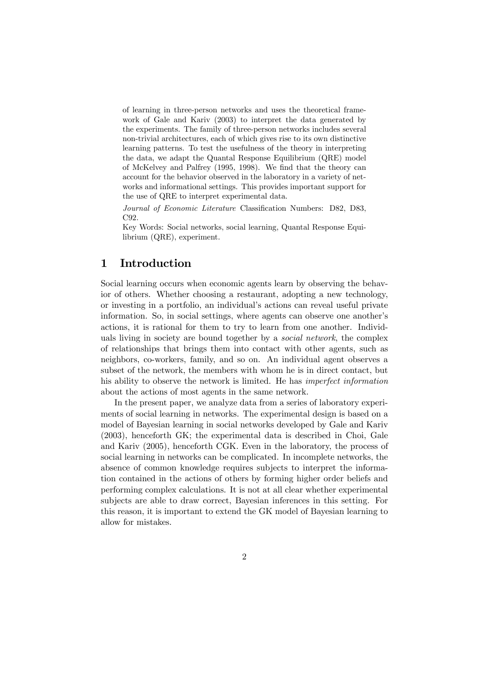of learning in three-person networks and uses the theoretical framework of Gale and Kariv (2003) to interpret the data generated by the experiments. The family of three-person networks includes several non-trivial architectures, each of which gives rise to its own distinctive learning patterns. To test the usefulness of the theory in interpreting the data, we adapt the Quantal Response Equilibrium (QRE) model of McKelvey and Palfrey (1995, 1998). We find that the theory can account for the behavior observed in the laboratory in a variety of networks and informational settings. This provides important support for the use of QRE to interpret experimental data.

Journal of Economic Literature Classification Numbers: D82, D83, C92.

Key Words: Social networks, social learning, Quantal Response Equilibrium (QRE), experiment.

# 1 Introduction

Social learning occurs when economic agents learn by observing the behavior of others. Whether choosing a restaurant, adopting a new technology, or investing in a portfolio, an individual's actions can reveal useful private information. So, in social settings, where agents can observe one another's actions, it is rational for them to try to learn from one another. Individuals living in society are bound together by a social network, the complex of relationships that brings them into contact with other agents, such as neighbors, co-workers, family, and so on. An individual agent observes a subset of the network, the members with whom he is in direct contact, but his ability to observe the network is limited. He has imperfect information about the actions of most agents in the same network.

In the present paper, we analyze data from a series of laboratory experiments of social learning in networks. The experimental design is based on a model of Bayesian learning in social networks developed by Gale and Kariv (2003), henceforth GK; the experimental data is described in Choi, Gale and Kariv (2005), henceforth CGK. Even in the laboratory, the process of social learning in networks can be complicated. In incomplete networks, the absence of common knowledge requires subjects to interpret the information contained in the actions of others by forming higher order beliefs and performing complex calculations. It is not at all clear whether experimental subjects are able to draw correct, Bayesian inferences in this setting. For this reason, it is important to extend the GK model of Bayesian learning to allow for mistakes.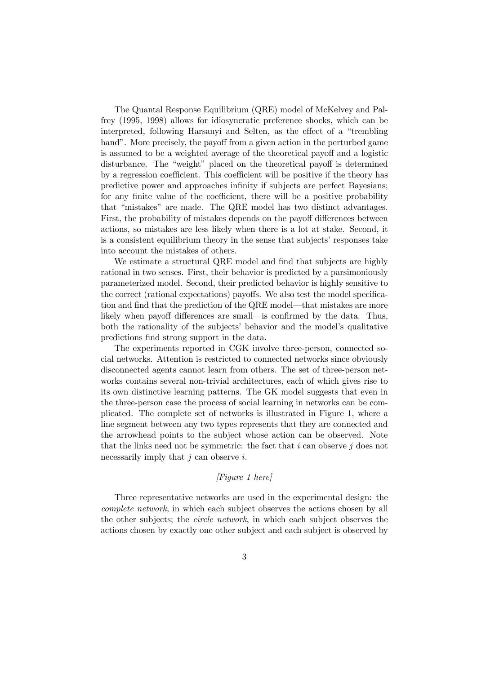The Quantal Response Equilibrium (QRE) model of McKelvey and Palfrey (1995, 1998) allows for idiosyncratic preference shocks, which can be interpreted, following Harsanyi and Selten, as the effect of a "trembling hand". More precisely, the payoff from a given action in the perturbed game is assumed to be a weighted average of the theoretical payoff and a logistic disturbance. The "weight" placed on the theoretical payoff is determined by a regression coefficient. This coefficient will be positive if the theory has predictive power and approaches infinity if subjects are perfect Bayesians; for any finite value of the coefficient, there will be a positive probability that "mistakes" are made. The QRE model has two distinct advantages. First, the probability of mistakes depends on the payoff differences between actions, so mistakes are less likely when there is a lot at stake. Second, it is a consistent equilibrium theory in the sense that subjects' responses take into account the mistakes of others.

We estimate a structural QRE model and find that subjects are highly rational in two senses. First, their behavior is predicted by a parsimoniously parameterized model. Second, their predicted behavior is highly sensitive to the correct (rational expectations) payoffs. We also test the model specification and find that the prediction of the QRE model–that mistakes are more likely when payoff differences are small–is confirmed by the data. Thus, both the rationality of the subjects' behavior and the model's qualitative predictions find strong support in the data.

The experiments reported in CGK involve three-person, connected social networks. Attention is restricted to connected networks since obviously disconnected agents cannot learn from others. The set of three-person networks contains several non-trivial architectures, each of which gives rise to its own distinctive learning patterns. The GK model suggests that even in the three-person case the process of social learning in networks can be complicated. The complete set of networks is illustrated in Figure 1, where a line segment between any two types represents that they are connected and the arrowhead points to the subject whose action can be observed. Note that the links need not be symmetric: the fact that  $i$  can observe  $j$  does not necessarily imply that  $j$  can observe  $i$ .

### [Figure 1 here]

Three representative networks are used in the experimental design: the complete network, in which each subject observes the actions chosen by all the other subjects; the circle network, in which each subject observes the actions chosen by exactly one other subject and each subject is observed by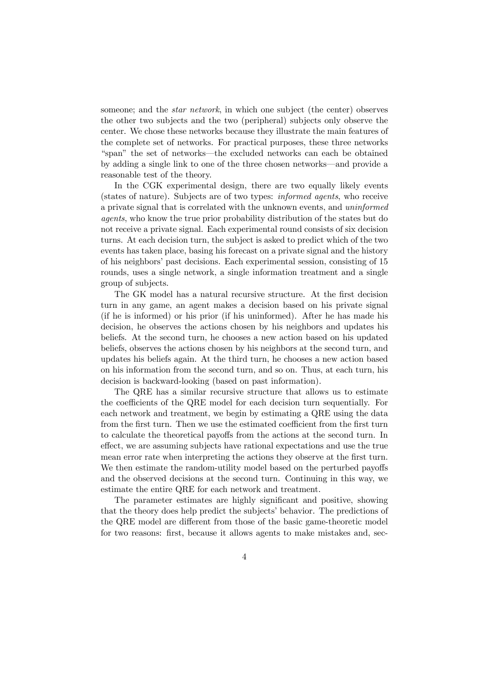someone; and the *star network*, in which one subject (the center) observes the other two subjects and the two (peripheral) subjects only observe the center. We chose these networks because they illustrate the main features of the complete set of networks. For practical purposes, these three networks "span" the set of networks–the excluded networks can each be obtained by adding a single link to one of the three chosen networks–and provide a reasonable test of the theory.

In the CGK experimental design, there are two equally likely events (states of nature). Subjects are of two types: informed agents, who receive a private signal that is correlated with the unknown events, and uninformed agents, who know the true prior probability distribution of the states but do not receive a private signal. Each experimental round consists of six decision turns. At each decision turn, the subject is asked to predict which of the two events has taken place, basing his forecast on a private signal and the history of his neighbors' past decisions. Each experimental session, consisting of 15 rounds, uses a single network, a single information treatment and a single group of subjects.

The GK model has a natural recursive structure. At the first decision turn in any game, an agent makes a decision based on his private signal (if he is informed) or his prior (if his uninformed). After he has made his decision, he observes the actions chosen by his neighbors and updates his beliefs. At the second turn, he chooses a new action based on his updated beliefs, observes the actions chosen by his neighbors at the second turn, and updates his beliefs again. At the third turn, he chooses a new action based on his information from the second turn, and so on. Thus, at each turn, his decision is backward-looking (based on past information).

The QRE has a similar recursive structure that allows us to estimate the coefficients of the QRE model for each decision turn sequentially. For each network and treatment, we begin by estimating a QRE using the data from the first turn. Then we use the estimated coefficient from the first turn to calculate the theoretical payoffs from the actions at the second turn. In effect, we are assuming subjects have rational expectations and use the true mean error rate when interpreting the actions they observe at the first turn. We then estimate the random-utility model based on the perturbed payoffs and the observed decisions at the second turn. Continuing in this way, we estimate the entire QRE for each network and treatment.

The parameter estimates are highly significant and positive, showing that the theory does help predict the subjects' behavior. The predictions of the QRE model are different from those of the basic game-theoretic model for two reasons: first, because it allows agents to make mistakes and, sec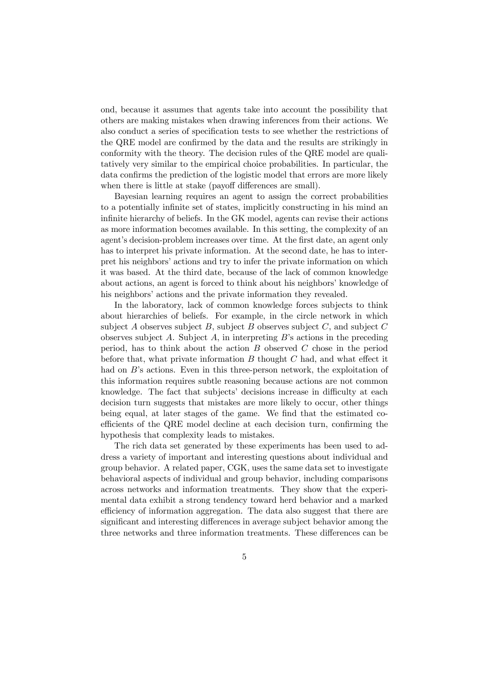ond, because it assumes that agents take into account the possibility that others are making mistakes when drawing inferences from their actions. We also conduct a series of specification tests to see whether the restrictions of the QRE model are confirmed by the data and the results are strikingly in conformity with the theory. The decision rules of the QRE model are qualitatively very similar to the empirical choice probabilities. In particular, the data confirms the prediction of the logistic model that errors are more likely when there is little at stake (payoff differences are small).

Bayesian learning requires an agent to assign the correct probabilities to a potentially infinite set of states, implicitly constructing in his mind an infinite hierarchy of beliefs. In the GK model, agents can revise their actions as more information becomes available. In this setting, the complexity of an agent's decision-problem increases over time. At the first date, an agent only has to interpret his private information. At the second date, he has to interpret his neighbors' actions and try to infer the private information on which it was based. At the third date, because of the lack of common knowledge about actions, an agent is forced to think about his neighbors' knowledge of his neighbors' actions and the private information they revealed.

In the laboratory, lack of common knowledge forces subjects to think about hierarchies of beliefs. For example, in the circle network in which subject A observes subject B, subject B observes subject C, and subject C observes subject A. Subject A, in interpreting  $B$ 's actions in the preceding period, has to think about the action  $B$  observed  $C$  chose in the period before that, what private information  $B$  thought  $C$  had, and what effect it had on  $B$ 's actions. Even in this three-person network, the exploitation of this information requires subtle reasoning because actions are not common knowledge. The fact that subjects' decisions increase in difficulty at each decision turn suggests that mistakes are more likely to occur, other things being equal, at later stages of the game. We find that the estimated coefficients of the QRE model decline at each decision turn, confirming the hypothesis that complexity leads to mistakes.

The rich data set generated by these experiments has been used to address a variety of important and interesting questions about individual and group behavior. A related paper, CGK, uses the same data set to investigate behavioral aspects of individual and group behavior, including comparisons across networks and information treatments. They show that the experimental data exhibit a strong tendency toward herd behavior and a marked efficiency of information aggregation. The data also suggest that there are significant and interesting differences in average subject behavior among the three networks and three information treatments. These differences can be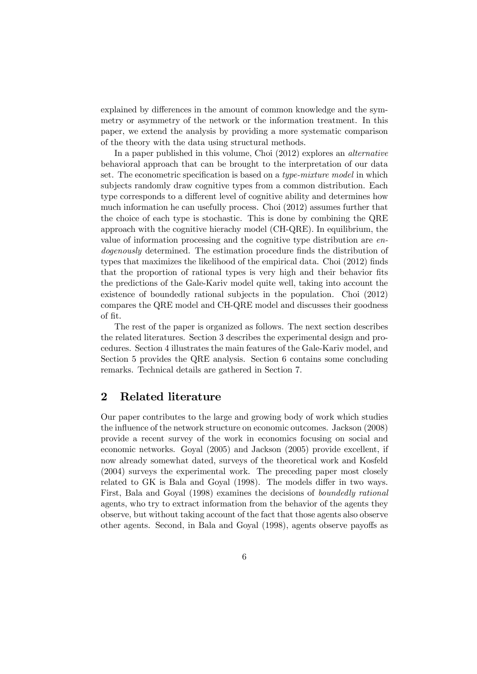explained by differences in the amount of common knowledge and the symmetry or asymmetry of the network or the information treatment. In this paper, we extend the analysis by providing a more systematic comparison of the theory with the data using structural methods.

In a paper published in this volume, Choi (2012) explores an alternative behavioral approach that can be brought to the interpretation of our data set. The econometric specification is based on a *type-mixture model* in which subjects randomly draw cognitive types from a common distribution. Each type corresponds to a different level of cognitive ability and determines how much information he can usefully process. Choi (2012) assumes further that the choice of each type is stochastic. This is done by combining the QRE approach with the cognitive hierachy model (CH-QRE). In equilibrium, the value of information processing and the cognitive type distribution are endogenously determined. The estimation procedure finds the distribution of types that maximizes the likelihood of the empirical data. Choi (2012) finds that the proportion of rational types is very high and their behavior fits the predictions of the Gale-Kariv model quite well, taking into account the existence of boundedly rational subjects in the population. Choi (2012) compares the QRE model and CH-QRE model and discusses their goodness of fit.

The rest of the paper is organized as follows. The next section describes the related literatures. Section 3 describes the experimental design and procedures. Section 4 illustrates the main features of the Gale-Kariv model, and Section 5 provides the QRE analysis. Section 6 contains some concluding remarks. Technical details are gathered in Section 7.

### 2 Related literature

Our paper contributes to the large and growing body of work which studies the influence of the network structure on economic outcomes. Jackson (2008) provide a recent survey of the work in economics focusing on social and economic networks. Goyal (2005) and Jackson (2005) provide excellent, if now already somewhat dated, surveys of the theoretical work and Kosfeld (2004) surveys the experimental work. The preceding paper most closely related to GK is Bala and Goyal (1998). The models differ in two ways. First, Bala and Goyal (1998) examines the decisions of boundedly rational agents, who try to extract information from the behavior of the agents they observe, but without taking account of the fact that those agents also observe other agents. Second, in Bala and Goyal (1998), agents observe payoffs as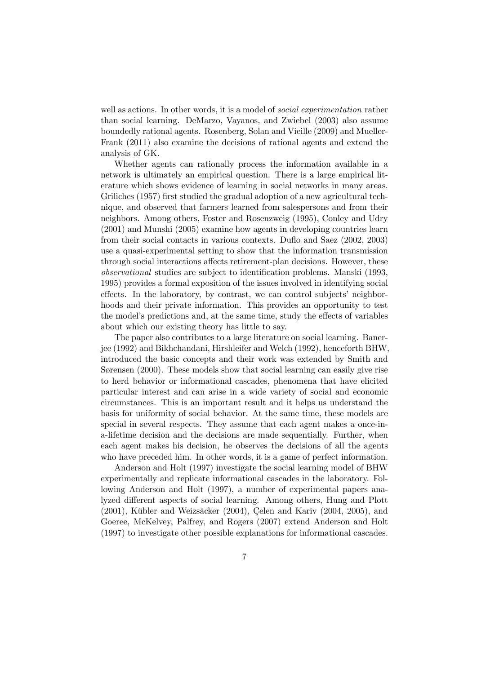well as actions. In other words, it is a model of *social experimentation* rather than social learning. DeMarzo, Vayanos, and Zwiebel (2003) also assume boundedly rational agents. Rosenberg, Solan and Vieille (2009) and Mueller-Frank (2011) also examine the decisions of rational agents and extend the analysis of GK.

Whether agents can rationally process the information available in a network is ultimately an empirical question. There is a large empirical literature which shows evidence of learning in social networks in many areas. Griliches (1957) first studied the gradual adoption of a new agricultural technique, and observed that farmers learned from salespersons and from their neighbors. Among others, Foster and Rosenzweig (1995), Conley and Udry (2001) and Munshi (2005) examine how agents in developing countries learn from their social contacts in various contexts. Duflo and Saez (2002, 2003) use a quasi-experimental setting to show that the information transmission through social interactions affects retirement-plan decisions. However, these observational studies are subject to identification problems. Manski (1993, 1995) provides a formal exposition of the issues involved in identifying social effects. In the laboratory, by contrast, we can control subjects' neighborhoods and their private information. This provides an opportunity to test the model's predictions and, at the same time, study the effects of variables about which our existing theory has little to say.

The paper also contributes to a large literature on social learning. Banerjee (1992) and Bikhchandani, Hirshleifer and Welch (1992), henceforth BHW, introduced the basic concepts and their work was extended by Smith and Sørensen (2000). These models show that social learning can easily give rise to herd behavior or informational cascades, phenomena that have elicited particular interest and can arise in a wide variety of social and economic circumstances. This is an important result and it helps us understand the basis for uniformity of social behavior. At the same time, these models are special in several respects. They assume that each agent makes a once-ina-lifetime decision and the decisions are made sequentially. Further, when each agent makes his decision, he observes the decisions of all the agents who have preceded him. In other words, it is a game of perfect information.

Anderson and Holt (1997) investigate the social learning model of BHW experimentally and replicate informational cascades in the laboratory. Following Anderson and Holt (1997), a number of experimental papers analyzed different aspects of social learning. Among others, Hung and Plott (2001), Kübler and Weizsäcker (2004), Çelen and Kariv (2004, 2005), and Goeree, McKelvey, Palfrey, and Rogers (2007) extend Anderson and Holt (1997) to investigate other possible explanations for informational cascades.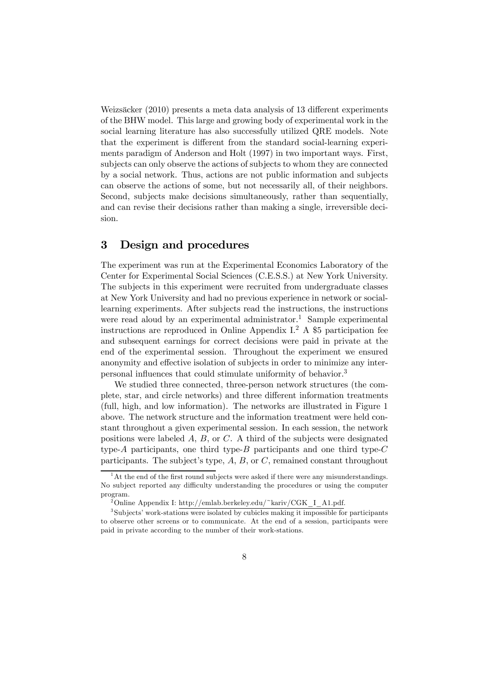Weizsäcker (2010) presents a meta data analysis of 13 different experiments of the BHW model. This large and growing body of experimental work in the social learning literature has also successfully utilized QRE models. Note that the experiment is different from the standard social-learning experiments paradigm of Anderson and Holt (1997) in two important ways. First, subjects can only observe the actions of subjects to whom they are connected by a social network. Thus, actions are not public information and subjects can observe the actions of some, but not necessarily all, of their neighbors. Second, subjects make decisions simultaneously, rather than sequentially, and can revise their decisions rather than making a single, irreversible decision.

# 3 Design and procedures

The experiment was run at the Experimental Economics Laboratory of the Center for Experimental Social Sciences (C.E.S.S.) at New York University. The subjects in this experiment were recruited from undergraduate classes at New York University and had no previous experience in network or sociallearning experiments. After subjects read the instructions, the instructions were read aloud by an experimental administrator.<sup>1</sup> Sample experimental instructions are reproduced in Online Appendix I.<sup>2</sup> A  $$5$  participation fee and subsequent earnings for correct decisions were paid in private at the end of the experimental session. Throughout the experiment we ensured anonymity and effective isolation of subjects in order to minimize any interpersonal influences that could stimulate uniformity of behavior.3

We studied three connected, three-person network structures (the complete, star, and circle networks) and three different information treatments (full, high, and low information). The networks are illustrated in Figure 1 above. The network structure and the information treatment were held constant throughout a given experimental session. In each session, the network positions were labeled  $A, B,$  or  $C$ . A third of the subjects were designated type- $A$  participants, one third type- $B$  participants and one third type- $C$ participants. The subject's type,  $A, B$ , or  $C$ , remained constant throughout

 $1<sup>1</sup>$ At the end of the first round subjects were asked if there were any misunderstandings. No subject reported any difficulty understanding the procedures or using the computer program.

<sup>&</sup>lt;sup>2</sup>Online Appendix I: http://emlab.berkeley.edu/~kariv/CGK\_I\_A1.pdf.

<sup>&</sup>lt;sup>3</sup>Subjects' work-stations were isolated by cubicles making it impossible for participants to observe other screens or to communicate. At the end of a session, participants were paid in private according to the number of their work-stations.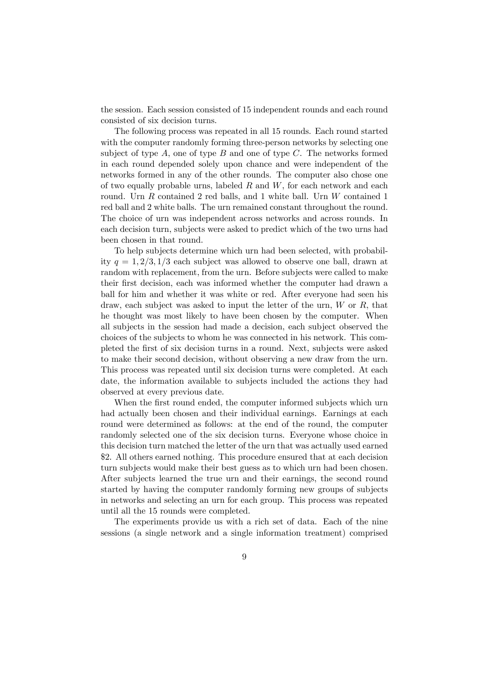the session. Each session consisted of 15 independent rounds and each round consisted of six decision turns.

The following process was repeated in all 15 rounds. Each round started with the computer randomly forming three-person networks by selecting one subject of type  $A$ , one of type  $B$  and one of type  $C$ . The networks formed in each round depended solely upon chance and were independent of the networks formed in any of the other rounds. The computer also chose one of two equally probable urns, labeled  $R$  and  $W$ , for each network and each round. Urn  $R$  contained 2 red balls, and 1 white ball. Urn  $W$  contained 1 red ball and 2 white balls. The urn remained constant throughout the round. The choice of urn was independent across networks and across rounds. In each decision turn, subjects were asked to predict which of the two urns had been chosen in that round.

To help subjects determine which urn had been selected, with probability  $q = 1, 2/3, 1/3$  each subject was allowed to observe one ball, drawn at random with replacement, from the urn. Before subjects were called to make their first decision, each was informed whether the computer had drawn a ball for him and whether it was white or red. After everyone had seen his draw, each subject was asked to input the letter of the urn,  $W$  or  $R$ , that he thought was most likely to have been chosen by the computer. When all subjects in the session had made a decision, each subject observed the choices of the subjects to whom he was connected in his network. This completed the first of six decision turns in a round. Next, subjects were asked to make their second decision, without observing a new draw from the urn. This process was repeated until six decision turns were completed. At each date, the information available to subjects included the actions they had observed at every previous date.

When the first round ended, the computer informed subjects which urn had actually been chosen and their individual earnings. Earnings at each round were determined as follows: at the end of the round, the computer randomly selected one of the six decision turns. Everyone whose choice in this decision turn matched the letter of the urn that was actually used earned \$2. All others earned nothing. This procedure ensured that at each decision turn subjects would make their best guess as to which urn had been chosen. After subjects learned the true urn and their earnings, the second round started by having the computer randomly forming new groups of subjects in networks and selecting an urn for each group. This process was repeated until all the 15 rounds were completed.

The experiments provide us with a rich set of data. Each of the nine sessions (a single network and a single information treatment) comprised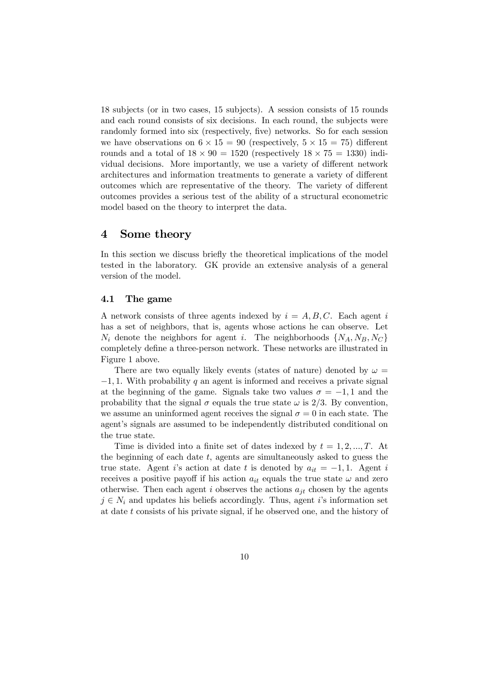18 subjects (or in two cases, 15 subjects). A session consists of 15 rounds and each round consists of six decisions. In each round, the subjects were randomly formed into six (respectively, five) networks. So for each session we have observations on  $6 \times 15 = 90$  (respectively,  $5 \times 15 = 75$ ) different rounds and a total of  $18 \times 90 = 1520$  (respectively  $18 \times 75 = 1330$ ) individual decisions. More importantly, we use a variety of different network architectures and information treatments to generate a variety of different outcomes which are representative of the theory. The variety of different outcomes provides a serious test of the ability of a structural econometric model based on the theory to interpret the data.

# 4 Some theory

In this section we discuss briefly the theoretical implications of the model tested in the laboratory. GK provide an extensive analysis of a general version of the model.

### 4.1 The game

A network consists of three agents indexed by  $i = A, B, C$ . Each agent i has a set of neighbors, that is, agents whose actions he can observe. Let  $N_i$  denote the neighbors for agent i. The neighborhoods  $\{N_A, N_B, N_C\}$ completely define a three-person network. These networks are illustrated in Figure 1 above.

There are two equally likely events (states of nature) denoted by  $\omega =$  $-1$ , 1. With probability q an agent is informed and receives a private signal at the beginning of the game. Signals take two values  $\sigma = -1, 1$  and the probability that the signal  $\sigma$  equals the true state  $\omega$  is 2/3. By convention, we assume an uninformed agent receives the signal  $\sigma = 0$  in each state. The agent's signals are assumed to be independently distributed conditional on the true state.

Time is divided into a finite set of dates indexed by  $t = 1, 2, ..., T$ . At the beginning of each date  $t$ , agents are simultaneously asked to guess the true state. Agent i's action at date t is denoted by  $a_{it} = -1, 1$ . Agent i receives a positive payoff if his action  $a_{it}$  equals the true state  $\omega$  and zero otherwise. Then each agent *i* observes the actions  $a_{jt}$  chosen by the agents  $j \in N_i$  and updates his beliefs accordingly. Thus, agent i's information set at date  $t$  consists of his private signal, if he observed one, and the history of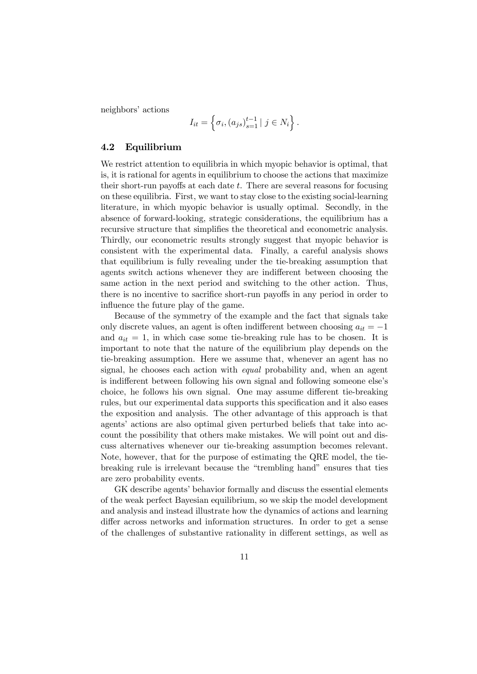neighbors' actions

$$
I_{it} = \left\{ \sigma_i, (a_{js})_{s=1}^{t-1} \mid j \in N_i \right\}.
$$

### 4.2 Equilibrium

We restrict attention to equilibria in which myopic behavior is optimal, that is, it is rational for agents in equilibrium to choose the actions that maximize their short-run payoffs at each date  $t$ . There are several reasons for focusing on these equilibria. First, we want to stay close to the existing social-learning literature, in which myopic behavior is usually optimal. Secondly, in the absence of forward-looking, strategic considerations, the equilibrium has a recursive structure that simplifies the theoretical and econometric analysis. Thirdly, our econometric results strongly suggest that myopic behavior is consistent with the experimental data. Finally, a careful analysis shows that equilibrium is fully revealing under the tie-breaking assumption that agents switch actions whenever they are indifferent between choosing the same action in the next period and switching to the other action. Thus, there is no incentive to sacrifice short-run payoffs in any period in order to influence the future play of the game.

Because of the symmetry of the example and the fact that signals take only discrete values, an agent is often indifferent between choosing  $a_{it} = -1$ and  $a_{it} = 1$ , in which case some tie-breaking rule has to be chosen. It is important to note that the nature of the equilibrium play depends on the tie-breaking assumption. Here we assume that, whenever an agent has no signal, he chooses each action with equal probability and, when an agent is indifferent between following his own signal and following someone else's choice, he follows his own signal. One may assume different tie-breaking rules, but our experimental data supports this specification and it also eases the exposition and analysis. The other advantage of this approach is that agents' actions are also optimal given perturbed beliefs that take into account the possibility that others make mistakes. We will point out and discuss alternatives whenever our tie-breaking assumption becomes relevant. Note, however, that for the purpose of estimating the QRE model, the tiebreaking rule is irrelevant because the "trembling hand" ensures that ties are zero probability events.

GK describe agents' behavior formally and discuss the essential elements of the weak perfect Bayesian equilibrium, so we skip the model development and analysis and instead illustrate how the dynamics of actions and learning differ across networks and information structures. In order to get a sense of the challenges of substantive rationality in different settings, as well as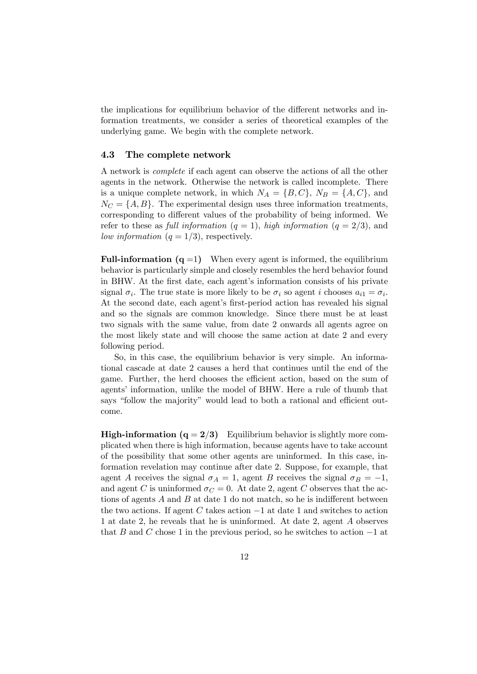the implications for equilibrium behavior of the different networks and information treatments, we consider a series of theoretical examples of the underlying game. We begin with the complete network.

#### 4.3 The complete network

A network is complete if each agent can observe the actions of all the other agents in the network. Otherwise the network is called incomplete. There is a unique complete network, in which  $N_A = \{B, C\}$ ,  $N_B = \{A, C\}$ , and  $N_C = \{A, B\}$ . The experimental design uses three information treatments, corresponding to different values of the probability of being informed. We refer to these as full information  $(q = 1)$ , high information  $(q = 2/3)$ , and low information  $(q = 1/3)$ , respectively.

**Full-information**  $(q = 1)$  When every agent is informed, the equilibrium behavior is particularly simple and closely resembles the herd behavior found in BHW. At the first date, each agent's information consists of his private signal  $\sigma_i$ . The true state is more likely to be  $\sigma_i$  so agent *i* chooses  $a_{i1} = \sigma_i$ . At the second date, each agent's first-period action has revealed his signal and so the signals are common knowledge. Since there must be at least two signals with the same value, from date 2 onwards all agents agree on the most likely state and will choose the same action at date 2 and every following period.

So, in this case, the equilibrium behavior is very simple. An informational cascade at date 2 causes a herd that continues until the end of the game. Further, the herd chooses the efficient action, based on the sum of agents' information, unlike the model of BHW. Here a rule of thumb that says "follow the majority" would lead to both a rational and efficient outcome.

**High-information**  $(q = 2/3)$  Equilibrium behavior is slightly more complicated when there is high information, because agents have to take account of the possibility that some other agents are uninformed. In this case, information revelation may continue after date 2. Suppose, for example, that agent A receives the signal  $\sigma_A = 1$ , agent B receives the signal  $\sigma_B = -1$ , and agent C is uninformed  $\sigma_C = 0$ . At date 2, agent C observes that the actions of agents  $A$  and  $B$  at date 1 do not match, so he is indifferent between the two actions. If agent  $C$  takes action  $-1$  at date 1 and switches to action 1 at date 2, he reveals that he is uninformed. At date 2, agent  $A$  observes that B and C chose 1 in the previous period, so he switches to action  $-1$  at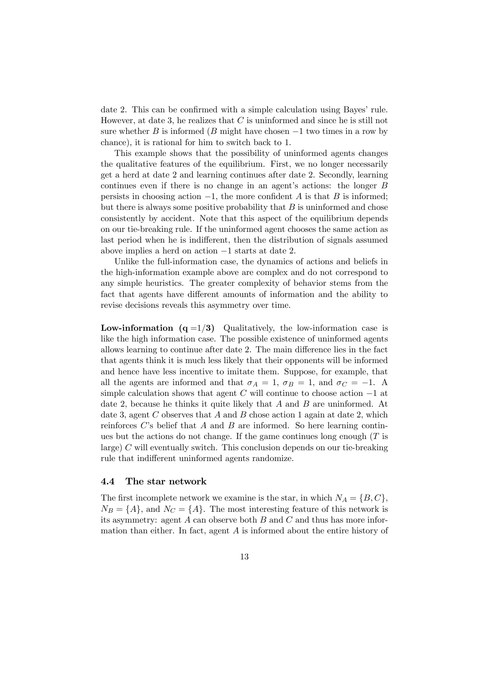date 2. This can be confirmed with a simple calculation using Bayes' rule. However, at date 3, he realizes that  $C$  is uninformed and since he is still not sure whether  $B$  is informed ( $B$  might have chosen  $-1$  two times in a row by chance), it is rational for him to switch back to 1.

This example shows that the possibility of uninformed agents changes the qualitative features of the equilibrium. First, we no longer necessarily get a herd at date 2 and learning continues after date 2. Secondly, learning continues even if there is no change in an agent's actions: the longer  $B$ persists in choosing action  $-1$ , the more confident A is that B is informed; but there is always some positive probability that  $B$  is uninformed and chose consistently by accident. Note that this aspect of the equilibrium depends on our tie-breaking rule. If the uninformed agent chooses the same action as last period when he is indifferent, then the distribution of signals assumed above implies a herd on action −1 starts at date 2.

Unlike the full-information case, the dynamics of actions and beliefs in the high-information example above are complex and do not correspond to any simple heuristics. The greater complexity of behavior stems from the fact that agents have different amounts of information and the ability to revise decisions reveals this asymmetry over time.

**Low-information**  $(q = 1/3)$  Qualitatively, the low-information case is like the high information case. The possible existence of uninformed agents allows learning to continue after date 2. The main difference lies in the fact that agents think it is much less likely that their opponents will be informed and hence have less incentive to imitate them. Suppose, for example, that all the agents are informed and that  $\sigma_A = 1$ ,  $\sigma_B = 1$ , and  $\sigma_C = -1$ . A simple calculation shows that agent  $C$  will continue to choose action  $-1$  at date 2, because he thinks it quite likely that  $A$  and  $B$  are uninformed. At date 3, agent  $C$  observes that  $A$  and  $B$  chose action 1 again at date 2, which reinforces  $C$ 's belief that  $A$  and  $B$  are informed. So here learning continues but the actions do not change. If the game continues long enough  $(T$  is large)  $C$  will eventually switch. This conclusion depends on our tie-breaking rule that indifferent uninformed agents randomize.

#### 4.4 The star network

The first incomplete network we examine is the star, in which  $N_A = \{B, C\},\$  $N_B = \{A\}$ , and  $N_C = \{A\}$ . The most interesting feature of this network is its asymmetry: agent  $A$  can observe both  $B$  and  $C$  and thus has more information than either. In fact, agent  $A$  is informed about the entire history of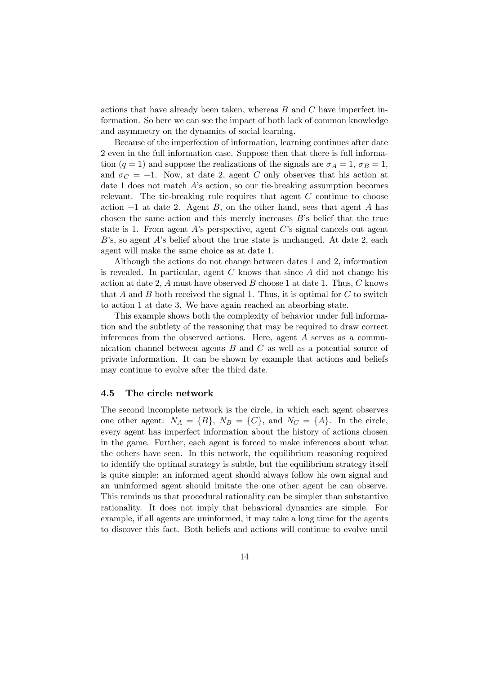actions that have already been taken, whereas  $B$  and  $C$  have imperfect information. So here we can see the impact of both lack of common knowledge and asymmetry on the dynamics of social learning.

Because of the imperfection of information, learning continues after date 2 even in the full information case. Suppose then that there is full information ( $q = 1$ ) and suppose the realizations of the signals are  $\sigma_A = 1$ ,  $\sigma_B = 1$ , and  $\sigma_C = -1$ . Now, at date 2, agent C only observes that his action at date 1 does not match  $\vec{A}$ 's action, so our tie-breaking assumption becomes relevant. The tie-breaking rule requires that agent  $C$  continue to choose action  $-1$  at date 2. Agent B, on the other hand, sees that agent A has chosen the same action and this merely increases  $B$ 's belief that the true state is 1. From agent  $A$ 's perspective, agent  $C$ 's signal cancels out agent  $B$ 's, so agent  $A$ 's belief about the true state is unchanged. At date 2, each agent will make the same choice as at date 1.

Although the actions do not change between dates 1 and 2, information is revealed. In particular, agent  $C$  knows that since  $A$  did not change his action at date 2,  $A$  must have observed  $B$  choose 1 at date 1. Thus,  $C$  knows that A and B both received the signal 1. Thus, it is optimal for  $C$  to switch to action 1 at date 3. We have again reached an absorbing state.

This example shows both the complexity of behavior under full information and the subtlety of the reasoning that may be required to draw correct inferences from the observed actions. Here, agent  $A$  serves as a communication channel between agents  $B$  and  $C$  as well as a potential source of private information. It can be shown by example that actions and beliefs may continue to evolve after the third date.

#### 4.5 The circle network

The second incomplete network is the circle, in which each agent observes one other agent:  $N_A = \{B\}$ ,  $N_B = \{C\}$ , and  $N_C = \{A\}$ . In the circle, every agent has imperfect information about the history of actions chosen in the game. Further, each agent is forced to make inferences about what the others have seen. In this network, the equilibrium reasoning required to identify the optimal strategy is subtle, but the equilibrium strategy itself is quite simple: an informed agent should always follow his own signal and an uninformed agent should imitate the one other agent he can observe. This reminds us that procedural rationality can be simpler than substantive rationality. It does not imply that behavioral dynamics are simple. For example, if all agents are uninformed, it may take a long time for the agents to discover this fact. Both beliefs and actions will continue to evolve until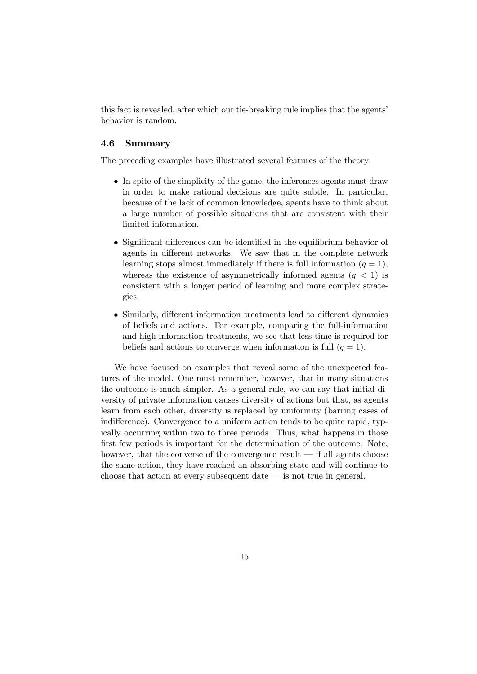this fact is revealed, after which our tie-breaking rule implies that the agents' behavior is random.

### 4.6 Summary

The preceding examples have illustrated several features of the theory:

- In spite of the simplicity of the game, the inferences agents must draw in order to make rational decisions are quite subtle. In particular, because of the lack of common knowledge, agents have to think about a large number of possible situations that are consistent with their limited information.
- Significant differences can be identified in the equilibrium behavior of agents in different networks. We saw that in the complete network learning stops almost immediately if there is full information  $(q = 1)$ , whereas the existence of asymmetrically informed agents  $(q < 1)$  is consistent with a longer period of learning and more complex strategies.
- Similarly, different information treatments lead to different dynamics of beliefs and actions. For example, comparing the full-information and high-information treatments, we see that less time is required for beliefs and actions to converge when information is full  $(q = 1)$ .

We have focused on examples that reveal some of the unexpected features of the model. One must remember, however, that in many situations the outcome is much simpler. As a general rule, we can say that initial diversity of private information causes diversity of actions but that, as agents learn from each other, diversity is replaced by uniformity (barring cases of indifference). Convergence to a uniform action tends to be quite rapid, typically occurring within two to three periods. Thus, what happens in those first few periods is important for the determination of the outcome. Note, however, that the converse of the convergence result  $-$  if all agents choose the same action, they have reached an absorbing state and will continue to choose that action at every subsequent date  $-$  is not true in general.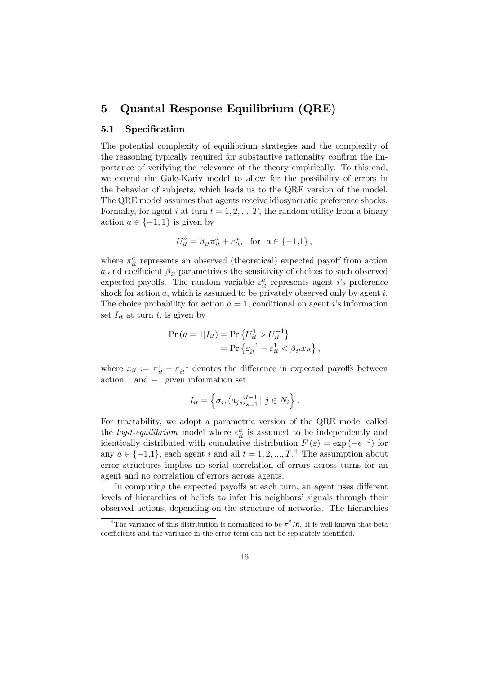# 5 Quantal Response Equilibrium (QRE)

### 5.1 Specification

The potential complexity of equilibrium strategies and the complexity of the reasoning typically required for substantive rationality confirm the importance of verifying the relevance of the theory empirically. To this end, we extend the Gale-Kariv model to allow for the possibility of errors in the behavior of subjects, which leads us to the QRE version of the model. The QRE model assumes that agents receive idiosyncratic preference shocks. Formally, for agent *i* at turn  $t = 1, 2, ..., T$ , the random utility from a binary action  $a \in \{-1, 1\}$  is given by

$$
U_{it}^a = \beta_{it}\pi_{it}^a + \varepsilon_{it}^a, \text{ for } a \in \{-1,1\}\,,
$$

where  $\pi_{it}^{a}$  represents an observed (theoretical) expected payoff from action a and coefficient  $\beta_{it}$  parametrizes the sensitivity of choices to such observed expected payoffs. The random variable  $\varepsilon_{it}^a$  represents agent *i*'s preference shock for action  $a$ , which is assumed to be privately observed only by agent  $i$ . The choice probability for action  $a = 1$ , conditional on agent *i*'s information set  $I_{it}$  at turn t, is given by

$$
\Pr(a = 1 | I_{it}) = \Pr \left\{ U_{it}^1 > U_{it}^{-1} \right\}
$$

$$
= \Pr \left\{ \varepsilon_{it}^{-1} - \varepsilon_{it}^1 < \beta_{it} x_{it} \right\},\
$$

where  $x_{it} := \pi_{it}^1 - \pi_{it}^{-1}$  denotes the difference in expected payoffs between action 1 and −1 given information set

$$
I_{it} = \left\{ \sigma_i, (a_{js})_{s=1}^{t-1} \mid j \in N_i \right\}.
$$

For tractability, we adopt a parametric version of the QRE model called the *logit-equilibrium* model where  $\varepsilon_{it}^a$  is assumed to be independently and identically distributed with cumulative distribution  $F(\varepsilon) = \exp(-e^{-\varepsilon})$  for any  $a \in \{-1,1\}$ , each agent *i* and all  $t = 1, 2, ..., T$ .<sup>4</sup> The assumption about error structures implies no serial correlation of errors across turns for an agent and no correlation of errors across agents.

In computing the expected payoffs at each turn, an agent uses different levels of hierarchies of beliefs to infer his neighbors' signals through their observed actions, depending on the structure of networks. The hierarchies

<sup>&</sup>lt;sup>4</sup>The variance of this distribution is normalized to be  $\pi^2/6$ . It is well known that beta coefficients and the variance in the error term can not be separately identified.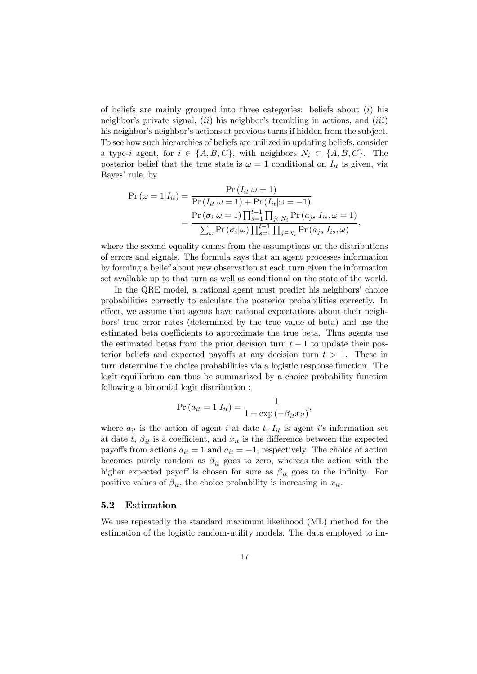of beliefs are mainly grouped into three categories: beliefs about  $(i)$  his neighbor's private signal,  $(ii)$  his neighbor's trembling in actions, and  $(iii)$ his neighbor's neighbor's actions at previous turns if hidden from the subject. To see how such hierarchies of beliefs are utilized in updating beliefs, consider a type-*i* agent, for  $i \in \{A, B, C\}$ , with neighbors  $N_i \subset \{A, B, C\}$ . The posterior belief that the true state is  $\omega = 1$  conditional on  $I_{it}$  is given, via Bayes' rule, by

$$
Pr(\omega = 1 | I_{it}) = \frac{Pr(I_{it}|\omega = 1)}{Pr(I_{it}|\omega = 1) + Pr(I_{it}|\omega = -1)}
$$
  
= 
$$
\frac{Pr(\sigma_i|\omega = 1) \prod_{s=1}^{t-1} \prod_{j \in N_i} Pr(a_{js}|I_{is}, \omega = 1)}{\sum_{\omega} Pr(\sigma_i|\omega) \prod_{s=1}^{t-1} \prod_{j \in N_i} Pr(a_{js}|I_{is}, \omega)},
$$

where the second equality comes from the assumptions on the distributions of errors and signals. The formula says that an agent processes information by forming a belief about new observation at each turn given the information set available up to that turn as well as conditional on the state of the world.

In the QRE model, a rational agent must predict his neighbors' choice probabilities correctly to calculate the posterior probabilities correctly. In effect, we assume that agents have rational expectations about their neighbors' true error rates (determined by the true value of beta) and use the estimated beta coefficients to approximate the true beta. Thus agents use the estimated betas from the prior decision turn  $t-1$  to update their posterior beliefs and expected payoffs at any decision turn  $t > 1$ . These in turn determine the choice probabilities via a logistic response function. The logit equilibrium can thus be summarized by a choice probability function following a binomial logit distribution :

$$
Pr(a_{it} = 1 | I_{it}) = \frac{1}{1 + \exp(-\beta_{it} x_{it})},
$$

where  $a_{it}$  is the action of agent i at date t,  $I_{it}$  is agent i's information set at date t,  $\beta_{it}$  is a coefficient, and  $x_{it}$  is the difference between the expected payoffs from actions  $a_{it} = 1$  and  $a_{it} = -1$ , respectively. The choice of action becomes purely random as  $\beta_{it}$  goes to zero, whereas the action with the higher expected payoff is chosen for sure as  $\beta_{it}$  goes to the infinity. For positive values of  $\beta_{it}$ , the choice probability is increasing in  $x_{it}$ .

#### 5.2 Estimation

We use repeatedly the standard maximum likelihood (ML) method for the estimation of the logistic random-utility models. The data employed to im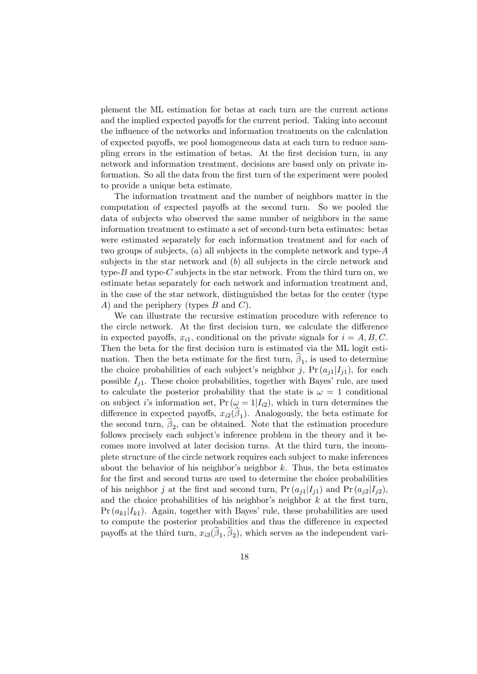plement the ML estimation for betas at each turn are the current actions and the implied expected payoffs for the current period. Taking into account the influence of the networks and information treatments on the calculation of expected payoffs, we pool homogeneous data at each turn to reduce sampling errors in the estimation of betas. At the first decision turn, in any network and information treatment, decisions are based only on private information. So all the data from the first turn of the experiment were pooled to provide a unique beta estimate.

The information treatment and the number of neighbors matter in the computation of expected payoffs at the second turn. So we pooled the data of subjects who observed the same number of neighbors in the same information treatment to estimate a set of second-turn beta estimates: betas were estimated separately for each information treatment and for each of two groups of subjects, (a) all subjects in the complete network and type- $A$ subjects in the star network and  $(b)$  all subjects in the circle network and type- $B$  and type- $C$  subjects in the star network. From the third turn on, we estimate betas separately for each network and information treatment and, in the case of the star network, distinguished the betas for the center (type A) and the periphery (types  $B$  and  $C$ ).

We can illustrate the recursive estimation procedure with reference to the circle network. At the first decision turn, we calculate the difference in expected payoffs,  $x_{i1}$ , conditional on the private signals for  $i = A, B, C$ . Then the beta for the first decision turn is estimated via the ML logit estimation. Then the beta estimate for the first turn,  $\hat{\beta}_1$ , is used to determine the choice probabilities of each subject's neighbor j,  $Pr(a_{j1}|I_{j1})$ , for each possible  $I_{i1}$ . These choice probabilities, together with Bayes' rule, are used to calculate the posterior probability that the state is  $\omega = 1$  conditional on subject i's information set,  $Pr(\omega = 1 | I_{i2})$ , which in turn determines the difference in expected payoffs,  $x_{i2}(\beta_1)$ . Analogously, the beta estimate for the second turn,  $\hat{\beta}_2$ , can be obtained. Note that the estimation procedure follows precisely each subject's inference problem in the theory and it becomes more involved at later decision turns. At the third turn, the incomplete structure of the circle network requires each subject to make inferences about the behavior of his neighbor's neighbor  $k$ . Thus, the beta estimates for the first and second turns are used to determine the choice probabilities of his neighbor j at the first and second turn,  $Pr(a_{i1}|I_{i1})$  and  $Pr(a_{i2}|I_{i2})$ , and the choice probabilities of his neighbor's neighbor  $k$  at the first turn,  $Pr(a_{k1}|I_{k1})$ . Again, together with Bayes' rule, these probabilities are used to compute the posterior probabilities and thus the difference in expected payoffs at the third turn,  $x_{i3}(\beta_1, \beta_2)$ , which serves as the independent vari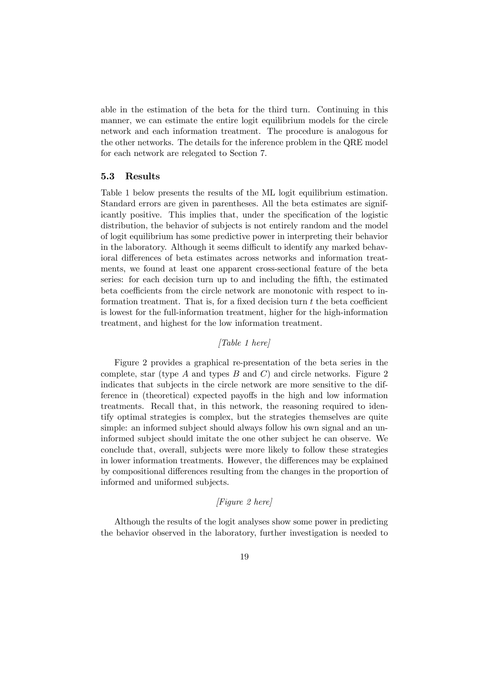able in the estimation of the beta for the third turn. Continuing in this manner, we can estimate the entire logit equilibrium models for the circle network and each information treatment. The procedure is analogous for the other networks. The details for the inference problem in the QRE model for each network are relegated to Section 7.

#### 5.3 Results

Table 1 below presents the results of the ML logit equilibrium estimation. Standard errors are given in parentheses. All the beta estimates are significantly positive. This implies that, under the specification of the logistic distribution, the behavior of subjects is not entirely random and the model of logit equilibrium has some predictive power in interpreting their behavior in the laboratory. Although it seems difficult to identify any marked behavioral differences of beta estimates across networks and information treatments, we found at least one apparent cross-sectional feature of the beta series: for each decision turn up to and including the fifth, the estimated beta coefficients from the circle network are monotonic with respect to information treatment. That is, for a fixed decision turn  $t$  the beta coefficient is lowest for the full-information treatment, higher for the high-information treatment, and highest for the low information treatment.

### [Table 1 here]

Figure 2 provides a graphical re-presentation of the beta series in the complete, star (type  $A$  and types  $B$  and  $C$ ) and circle networks. Figure 2 indicates that subjects in the circle network are more sensitive to the difference in (theoretical) expected payoffs in the high and low information treatments. Recall that, in this network, the reasoning required to identify optimal strategies is complex, but the strategies themselves are quite simple: an informed subject should always follow his own signal and an uninformed subject should imitate the one other subject he can observe. We conclude that, overall, subjects were more likely to follow these strategies in lower information treatments. However, the differences may be explained by compositional differences resulting from the changes in the proportion of informed and uniformed subjects.

### [Figure 2 here]

Although the results of the logit analyses show some power in predicting the behavior observed in the laboratory, further investigation is needed to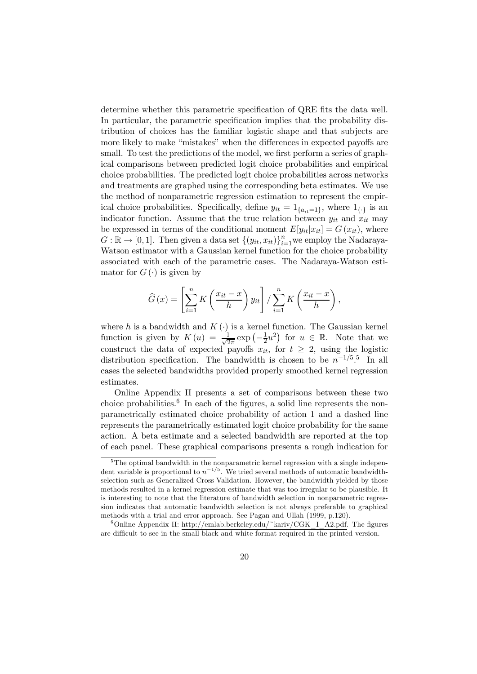determine whether this parametric specification of QRE fits the data well. In particular, the parametric specification implies that the probability distribution of choices has the familiar logistic shape and that subjects are more likely to make "mistakes" when the differences in expected payoffs are small. To test the predictions of the model, we first perform a series of graphical comparisons between predicted logit choice probabilities and empirical choice probabilities. The predicted logit choice probabilities across networks and treatments are graphed using the corresponding beta estimates. We use the method of nonparametric regression estimation to represent the empirical choice probabilities. Specifically, define  $y_{it} = 1_{\{a_{it}=1\}}$ , where  $1_{\{\cdot\}}$  is an indicator function. Assume that the true relation between  $y_{it}$  and  $x_{it}$  may be expressed in terms of the conditional moment  $E[y_{it}|x_{it}] = G(x_{it}),$  where  $G: \mathbb{R} \to [0,1]$ . Then given a data set  $\{(y_{it}, x_{it})\}_{i=1}^n$  we employ the Nadaraya-Watson estimator with a Gaussian kernel function for the choice probability associated with each of the parametric cases. The Nadaraya-Watson estimator for  $G(\cdot)$  is given by

$$
\widehat{G}(x) = \left[\sum_{i=1}^{n} K\left(\frac{x_{it} - x}{h}\right) y_{it}\right] / \sum_{i=1}^{n} K\left(\frac{x_{it} - x}{h}\right),
$$

where  $h$  is a bandwidth and  $K(\cdot)$  is a kernel function. The Gaussian kernel function is given by  $K(u) = \frac{1}{\sqrt{2\pi}} \exp\left(-\frac{1}{2}u^2\right)$  for  $u \in \mathbb{R}$ . Note that we construct the data of expected payoffs  $x_{it}$ , for  $t \geq 2$ , using the logistic distribution specification. The bandwidth is chosen to be  $n^{-1/5.5}$  In all cases the selected bandwidths provided properly smoothed kernel regression estimates.

Online Appendix II presents a set of comparisons between these two choice probabilities.<sup>6</sup> In each of the figures, a solid line represents the nonparametrically estimated choice probability of action 1 and a dashed line represents the parametrically estimated logit choice probability for the same action. A beta estimate and a selected bandwidth are reported at the top of each panel. These graphical comparisons presents a rough indication for

 $5$ The optimal bandwidth in the nonparametric kernel regression with a single independent variable is proportional to  $n^{-1/5}$ . We tried several methods of automatic bandwidthselection such as Generalized Cross Validation. However, the bandwidth yielded by those methods resulted in a kernel regression estimate that was too irregular to be plausible. It is interesting to note that the literature of bandwidth selection in nonparametric regression indicates that automatic bandwidth selection is not always preferable to graphical methods with a trial and error approach. See Pagan and Ullah (1999, p.120).

 $6$ Online Appendix II: http://emlab.berkeley.edu/~kariv/CGK\_I\_A2.pdf. The figures are difficult to see in the small black and white format required in the printed version.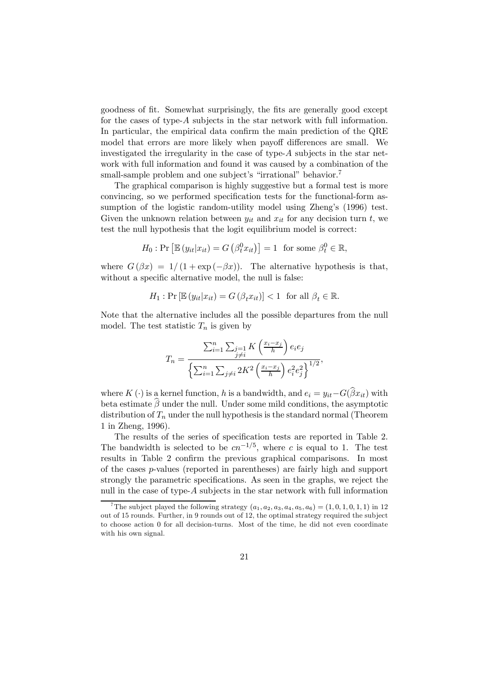goodness of fit. Somewhat surprisingly, the fits are generally good except for the cases of type- $A$  subjects in the star network with full information. In particular, the empirical data confirm the main prediction of the QRE model that errors are more likely when payoff differences are small. We investigated the irregularity in the case of type- $A$  subjects in the star network with full information and found it was caused by a combination of the small-sample problem and one subject's "irrational" behavior.<sup>7</sup>

The graphical comparison is highly suggestive but a formal test is more convincing, so we performed specification tests for the functional-form assumption of the logistic random-utility model using Zheng's (1996) test. Given the unknown relation between  $y_{it}$  and  $x_{it}$  for any decision turn t, we test the null hypothesis that the logit equilibrium model is correct:

$$
H_0: \Pr\left[\mathbb{E}\left(y_{it}|x_{it}\right) = G\left(\beta_t^0 x_{it}\right)\right] = 1 \text{ for some } \beta_t^0 \in \mathbb{R},
$$

where  $G(\beta x)=1/(1 + \exp(-\beta x))$ . The alternative hypothesis is that, without a specific alternative model, the null is false:

$$
H_1: \Pr\left[\mathbb{E}\left(y_{it}|x_{it}\right) = G\left(\beta_t x_{it}\right)\right] < 1 \quad \text{for all } \beta_t \in \mathbb{R}.
$$

Note that the alternative includes all the possible departures from the null model. The test statistic  $T_n$  is given by

$$
T_n = \frac{\sum_{i=1}^n \sum_{j=1}^n K\left(\frac{x_i - x_j}{h}\right) e_i e_j}{\left\{\sum_{i=1}^n \sum_{j \neq i} 2K^2 \left(\frac{x_i - x_j}{h}\right) e_i^2 e_j^2\right\}^{1/2}},
$$

where K (·) is a kernel function, h is a bandwidth, and  $e_i = y_{it} - G(\hat{\beta} x_{it})$  with beta estimate  $\widehat{\beta}$  under the null. Under some mild conditions, the asymptotic distribution of  $T_n$  under the null hypothesis is the standard normal (Theorem 1 in Zheng, 1996).

The results of the series of specification tests are reported in Table 2. The bandwidth is selected to be  $cn^{-1/5}$ , where c is equal to 1. The test results in Table 2 confirm the previous graphical comparisons. In most of the cases  $p$ -values (reported in parentheses) are fairly high and support strongly the parametric specifications. As seen in the graphs, we reject the null in the case of type- $A$  subjects in the star network with full information

<sup>&</sup>lt;sup>7</sup>The subject played the following strategy  $(a_1, a_2, a_3, a_4, a_5, a_6) = (1, 0, 1, 0, 1, 1)$  in 12 out of 15 rounds. Further, in 9 rounds out of 12, the optimal strategy required the subject to choose action 0 for all decision-turns. Most of the time, he did not even coordinate with his own signal.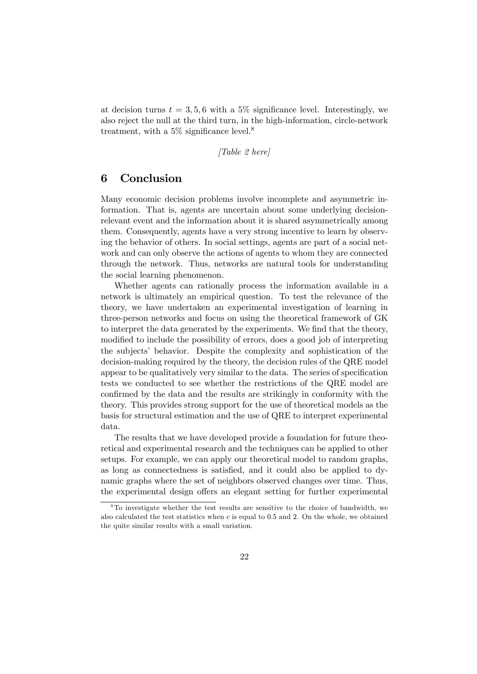at decision turns  $t = 3, 5, 6$  with a 5% significance level. Interestingly, we also reject the null at the third turn, in the high-information, circle-network treatment, with a  $5\%$  significance level.<sup>8</sup>

[Table 2 here]

# 6 Conclusion

Many economic decision problems involve incomplete and asymmetric information. That is, agents are uncertain about some underlying decisionrelevant event and the information about it is shared asymmetrically among them. Consequently, agents have a very strong incentive to learn by observing the behavior of others. In social settings, agents are part of a social network and can only observe the actions of agents to whom they are connected through the network. Thus, networks are natural tools for understanding the social learning phenomenon.

Whether agents can rationally process the information available in a network is ultimately an empirical question. To test the relevance of the theory, we have undertaken an experimental investigation of learning in three-person networks and focus on using the theoretical framework of GK to interpret the data generated by the experiments. We find that the theory, modified to include the possibility of errors, does a good job of interpreting the subjects' behavior. Despite the complexity and sophistication of the decision-making required by the theory, the decision rules of the QRE model appear to be qualitatively very similar to the data. The series of specification tests we conducted to see whether the restrictions of the QRE model are confirmed by the data and the results are strikingly in conformity with the theory. This provides strong support for the use of theoretical models as the basis for structural estimation and the use of QRE to interpret experimental data.

The results that we have developed provide a foundation for future theoretical and experimental research and the techniques can be applied to other setups. For example, we can apply our theoretical model to random graphs, as long as connectedness is satisfied, and it could also be applied to dynamic graphs where the set of neighbors observed changes over time. Thus, the experimental design offers an elegant setting for further experimental

<sup>8</sup>To investigate whether the test results are sensitive to the choice of bandwidth, we also calculated the test statistics when  $c$  is equal to 0.5 and 2. On the whole, we obtained the quite similar results with a small variation.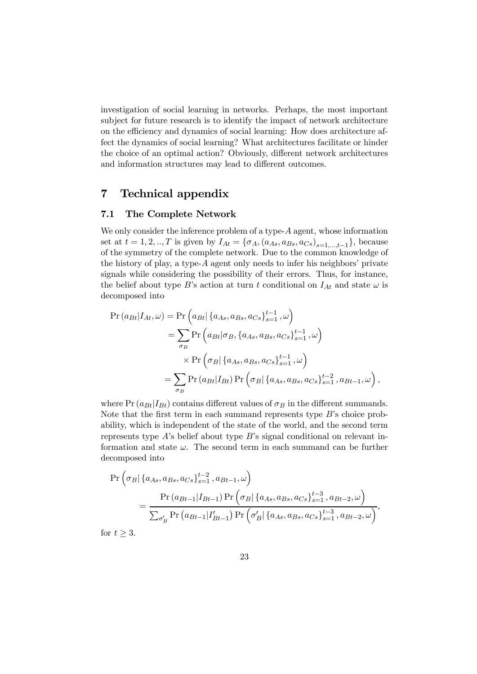investigation of social learning in networks. Perhaps, the most important subject for future research is to identify the impact of network architecture on the efficiency and dynamics of social learning: How does architecture affect the dynamics of social learning? What architectures facilitate or hinder the choice of an optimal action? Obviously, different network architectures and information structures may lead to different outcomes.

# 7 Technical appendix

### 7.1 The Complete Network

We only consider the inference problem of a type- $A$  agent, whose information set at  $t = 1, 2, ..., T$  is given by  $I_{At} = {\sigma_A, (a_{As}, a_{Bs}, a_{Cs})}_{s=1,...,t-1}$ , because of the symmetry of the complete network. Due to the common knowledge of the history of play, a type- $A$  agent only needs to infer his neighbors' private signals while considering the possibility of their errors. Thus, for instance, the belief about type B's action at turn t conditional on  $I_{At}$  and state  $\omega$  is decomposed into

$$
\Pr(a_{Bt}|I_{At}, \omega) = \Pr\left(a_{Bt} | \{a_{As}, a_{Bs}, a_{Cs}\}_{s=1}^{t-1}, \omega\right)
$$
  
=  $\sum_{\sigma_B} \Pr\left(a_{Bt} | \sigma_B, \{a_{As}, a_{Bs}, a_{Cs}\}_{s=1}^{t-1}, \omega\right)$   
 $\times \Pr\left(\sigma_B | \{a_{As}, a_{Bs}, a_{Cs}\}_{s=1}^{t-1}, \omega\right)$   
=  $\sum_{\sigma_B} \Pr(a_{Bt}|I_{Bt}) \Pr\left(\sigma_B | \{a_{As}, a_{Bs}, a_{Cs}\}_{s=1}^{t-2}, a_{Bt-1}, \omega\right),$ 

where  $Pr(a_{Bt}|I_{Bt})$  contains different values of  $\sigma_B$  in the different summands. Note that the first term in each summand represents type  $B$ 's choice probability, which is independent of the state of the world, and the second term represents type  $A$ 's belief about type  $B$ 's signal conditional on relevant information and state  $\omega$ . The second term in each summand can be further decomposed into

$$
\Pr\left(\sigma_B|\left\{a_{As}, a_{Bs}, a_{Cs}\right\}_{s=1}^{t-2}, a_{Bt-1}, \omega\right)
$$
\n
$$
= \frac{\Pr\left(a_{Bt-1}|I_{Bt-1}\right) \Pr\left(\sigma_B|\left\{a_{As}, a_{Bs}, a_{Cs}\right\}_{s=1}^{t-3}, a_{Bt-2}, \omega\right)}{\sum_{\sigma'_B} \Pr\left(a_{Bt-1}|I'_{Bt-1}\right) \Pr\left(\sigma'_B|\left\{a_{As}, a_{Bs}, a_{Cs}\right\}_{s=1}^{t-3}, a_{Bt-2}, \omega\right)},
$$
\n
$$
= \frac{\Pr\left(a_{Bt-1}|I'_{Bt-1}\right) \Pr\left(\sigma'_B|\left\{a_{As}, a_{Bs}, a_{Cs}\right\}_{s=1}^{t-3}, a_{Bt-2}, \omega\right)}{\Pr\left(\sigma'_B|\left\{a_{As}, a_{Bs}, a_{Cs}\right\}_{s=1}^{t-3}, a_{Bt-2}, \omega\right)}.
$$

for  $t \geq 3$ .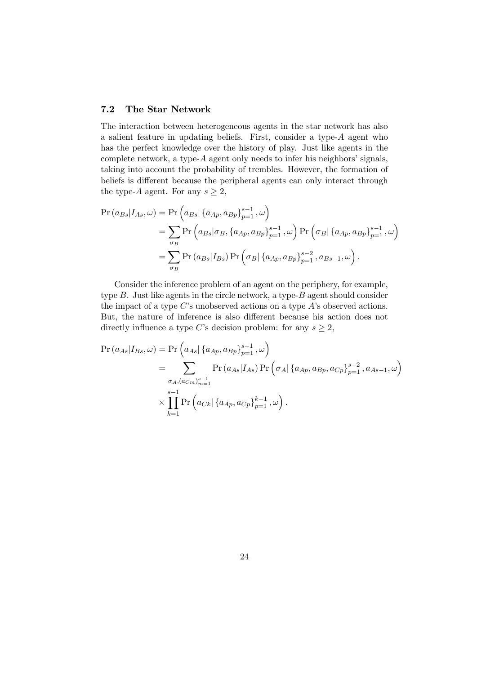### 7.2 The Star Network

The interaction between heterogeneous agents in the star network has also a salient feature in updating beliefs. First, consider a type- $A$  agent who has the perfect knowledge over the history of play. Just like agents in the complete network, a type- $A$  agent only needs to infer his neighbors' signals, taking into account the probability of trembles. However, the formation of beliefs is different because the peripheral agents can only interact through the type-A agent. For any  $s \geq 2$ ,

$$
\Pr(a_{Bs}|I_{As}, \omega) = \Pr\left(a_{Bs} | \{a_{Ap}, a_{Bp}\}_{p=1}^{s-1}, \omega\right) \n= \sum_{\sigma_B} \Pr\left(a_{Bs} | \sigma_B, \{a_{Ap}, a_{Bp}\}_{p=1}^{s-1}, \omega\right) \Pr\left(\sigma_B | \{a_{Ap}, a_{Bp}\}_{p=1}^{s-1}, \omega\right) \n= \sum_{\sigma_B} \Pr\left(a_{Bs} | I_{Bs}\right) \Pr\left(\sigma_B | \{a_{Ap}, a_{Bp}\}_{p=1}^{s-2}, a_{Bs-1}, \omega\right).
$$

Consider the inference problem of an agent on the periphery, for example, type  $B$ . Just like agents in the circle network, a type- $B$  agent should consider the impact of a type  $C$ 's unobserved actions on a type  $A$ 's observed actions. But, the nature of inference is also different because his action does not directly influence a type C's decision problem: for any  $s \geq 2$ ,

$$
\Pr(a_{As}|I_{Bs},\omega) = \Pr\left(a_{As}|\{a_{Ap}, a_{Bp}\}_{p=1}^{s-1}, \omega\right) \n= \sum_{\substack{\sigma_A, (a_{Cm})_{m=1}^{s-1} \\ \times \prod_{k=1}^{s-1} \Pr\left(a_{Ck}|\{a_{Ap}, a_{Cp}\}_{p=1}^{k-1}, \omega\right) \\ \times \prod_{k=1}^{s-1} \Pr\left(a_{Ck}|\{a_{Ap}, a_{Cp}\}_{p=1}^{k-1}, \omega\right).
$$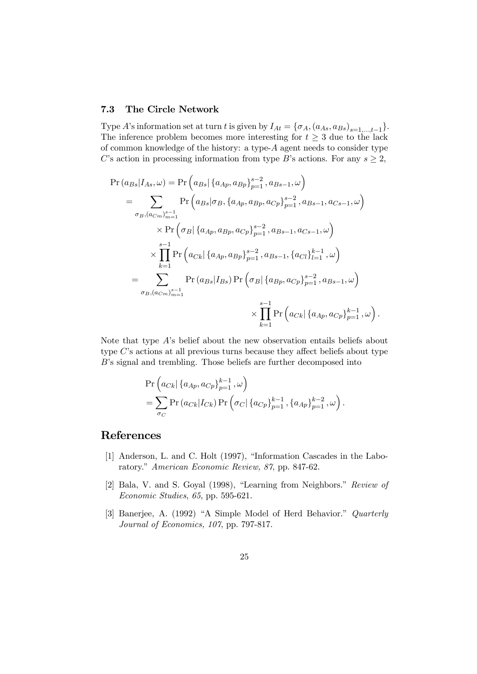### 7.3 The Circle Network

Type A's information set at turn t is given by  $I_{At} = {\sigma_A, (a_{As}, a_{Bs})}_{s=1,\dots,t-1}.$ The inference problem becomes more interesting for  $t \geq 3$  due to the lack of common knowledge of the history: a type- $A$  agent needs to consider type C's action in processing information from type B's actions. For any  $s \geq 2$ ,

$$
\Pr(a_{Bs}|I_{As},\omega) = \Pr\left(a_{Bs} | \{a_{Ap}, a_{Bp}\}_{p=1}^{s-2}, a_{Bs-1}, \omega\right)
$$
  
\n
$$
= \sum_{\sigma_B, (a_{Cm})_{m=1}^{s-1}} \Pr\left(a_{Bs} | \sigma_B, \{a_{Ap}, a_{Bp}, a_{Cp}\}_{p=1}^{s-2}, a_{Bs-1}, a_{Cs-1}, \omega\right)
$$
  
\n
$$
\times \Pr\left(\sigma_B | \{a_{Ap}, a_{Bp}, a_{Cp}\}_{p=1}^{s-2}, a_{Bs-1}, a_{Cs-1}, \omega\right)
$$
  
\n
$$
\times \prod_{k=1}^{s-1} \Pr\left(a_{Ck} | \{a_{Ap}, a_{Bp}\}_{p=1}^{s-2}, a_{Bs-1}, \{a_{Cl}\}_{l=1}^{k-1}, \omega\right)
$$
  
\n
$$
= \sum_{\sigma_B, (a_{Cm})_{m=1}^{s-1}} \Pr\left(a_{Bs} | I_{Bs}\right) \Pr\left(\sigma_B | \{a_{Bp}, a_{Cp}\}_{p=1}^{s-2}, a_{Bs-1}, \omega\right)
$$
  
\n
$$
\times \prod_{k=1}^{s-1} \Pr\left(a_{Ck} | \{a_{Ap}, a_{Cp}\}_{p=1}^{k-1}, \omega\right).
$$

Note that type  $A$ 's belief about the new observation entails beliefs about type  $C$ 's actions at all previous turns because they affect beliefs about type  $B$ 's signal and trembling. Those beliefs are further decomposed into

$$
\Pr\left(a_{Ck}|\left\{a_{Ap}, a_{Cp}\right\}_{p=1}^{k-1}, \omega\right) \n= \sum_{\sigma_C} \Pr\left(a_{Ck} | I_{Ck}\right) \Pr\left(\sigma_C|\left\{a_{Cp}\right\}_{p=1}^{k-1}, \left\{a_{Ap}\right\}_{p=1}^{k-2}, \omega\right).
$$

# References

- [1] Anderson, L. and C. Holt (1997), "Information Cascades in the Laboratory." American Economic Review, 87, pp. 847-62.
- [2] Bala, V. and S. Goyal (1998), "Learning from Neighbors." Review of Economic Studies, 65, pp. 595-621.
- [3] Banerjee, A. (1992) "A Simple Model of Herd Behavior." Quarterly Journal of Economics, 107, pp. 797-817.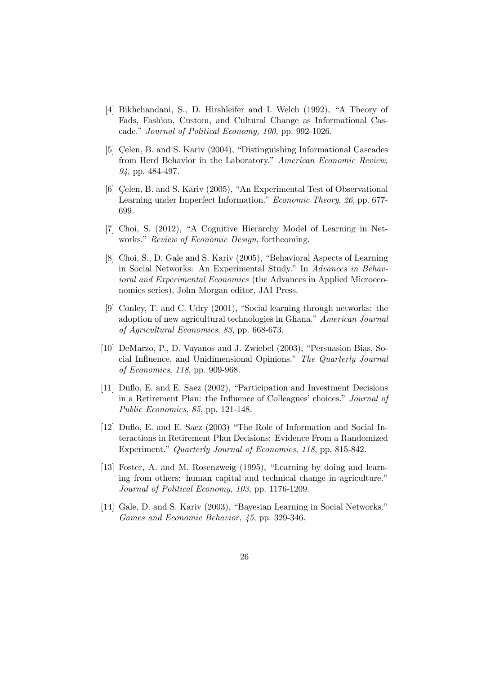- [4] Bikhchandani, S., D. Hirshleifer and I. Welch (1992), "A Theory of Fads, Fashion, Custom, and Cultural Change as Informational Cascade." Journal of Political Economy, 100, pp. 992-1026.
- [5] Çelen, B. and S. Kariv (2004), "Distinguishing Informational Cascades from Herd Behavior in the Laboratory." American Economic Review, 94, pp. 484-497.
- [6] Çelen, B. and S. Kariv (2005), "An Experimental Test of Observational Learning under Imperfect Information." Economic Theory, 26, pp. 677- 699.
- [7] Choi, S. (2012), "A Cognitive Hierarchy Model of Learning in Networks." Review of Economic Design, forthcoming.
- [8] Choi, S., D. Gale and S. Kariv (2005), "Behavioral Aspects of Learning in Social Networks: An Experimental Study." In Advances in Behavioral and Experimental Economics (the Advances in Applied Microeconomics series), John Morgan editor, JAI Press.
- [9] Conley, T. and C. Udry (2001), "Social learning through networks: the adoption of new agricultural technologies in Ghana." American Journal of Agricultural Economics, 83, pp. 668-673.
- [10] DeMarzo, P., D. Vayanos and J. Zwiebel (2003), "Persuasion Bias, Social Influence, and Unidimensional Opinions." The Quarterly Journal of Economics, 118, pp. 909-968.
- [11] Duflo, E. and E. Saez (2002), "Participation and Investment Decisions in a Retirement Plan: the Influence of Colleagues' choices." Journal of Public Economics, 85, pp. 121-148.
- [12] Duflo, E. and E. Saez (2003) "The Role of Information and Social Interactions in Retirement Plan Decisions: Evidence From a Randomized Experiment." Quarterly Journal of Economics, 118, pp. 815-842.
- [13] Foster, A. and M. Rosenzweig (1995), "Learning by doing and learning from others: human capital and technical change in agriculture." Journal of Political Economy, 103, pp. 1176-1209.
- [14] Gale, D. and S. Kariv (2003), "Bayesian Learning in Social Networks." Games and Economic Behavior, 45, pp. 329-346.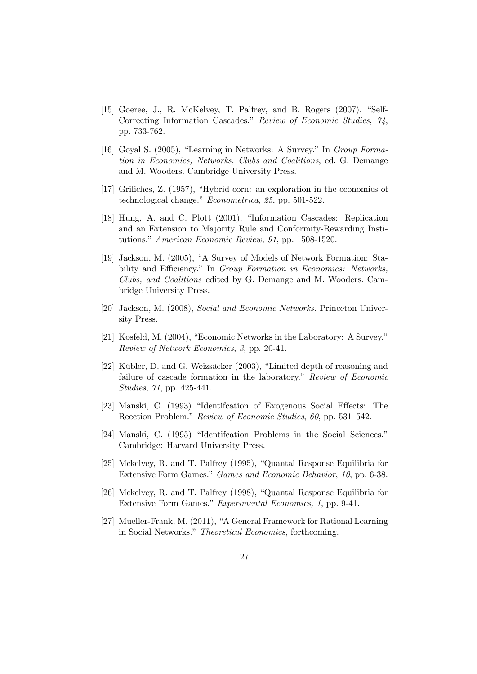- [15] Goeree, J., R. McKelvey, T. Palfrey, and B. Rogers (2007), "Self-Correcting Information Cascades." Review of Economic Studies, 74, pp. 733-762.
- [16] Goyal S. (2005), "Learning in Networks: A Survey." In Group Formation in Economics; Networks, Clubs and Coalitions, ed. G. Demange and M. Wooders. Cambridge University Press.
- [17] Griliches, Z. (1957), "Hybrid corn: an exploration in the economics of technological change." Econometrica, 25, pp. 501-522.
- [18] Hung, A. and C. Plott (2001), "Information Cascades: Replication and an Extension to Majority Rule and Conformity-Rewarding Institutions." American Economic Review, 91, pp. 1508-1520.
- [19] Jackson, M. (2005), "A Survey of Models of Network Formation: Stability and Efficiency." In Group Formation in Economics: Networks, Clubs, and Coalitions edited by G. Demange and M. Wooders. Cambridge University Press.
- [20] Jackson, M. (2008), Social and Economic Networks. Princeton University Press.
- [21] Kosfeld, M. (2004), "Economic Networks in the Laboratory: A Survey." Review of Network Economics, 3, pp. 20-41.
- [22] Kübler, D. and G. Weizsäcker (2003), "Limited depth of reasoning and failure of cascade formation in the laboratory." Review of Economic Studies, 71, pp. 425-441.
- [23] Manski, C. (1993) "Identifcation of Exogenous Social Effects: The Reection Problem." Review of Economic Studies, 60, pp. 531—542.
- [24] Manski, C. (1995) "Identifcation Problems in the Social Sciences." Cambridge: Harvard University Press.
- [25] Mckelvey, R. and T. Palfrey (1995), "Quantal Response Equilibria for Extensive Form Games." Games and Economic Behavior, 10, pp. 6-38.
- [26] Mckelvey, R. and T. Palfrey (1998), "Quantal Response Equilibria for Extensive Form Games." Experimental Economics, 1, pp. 9-41.
- [27] Mueller-Frank, M. (2011), "A General Framework for Rational Learning in Social Networks." Theoretical Economics, forthcoming.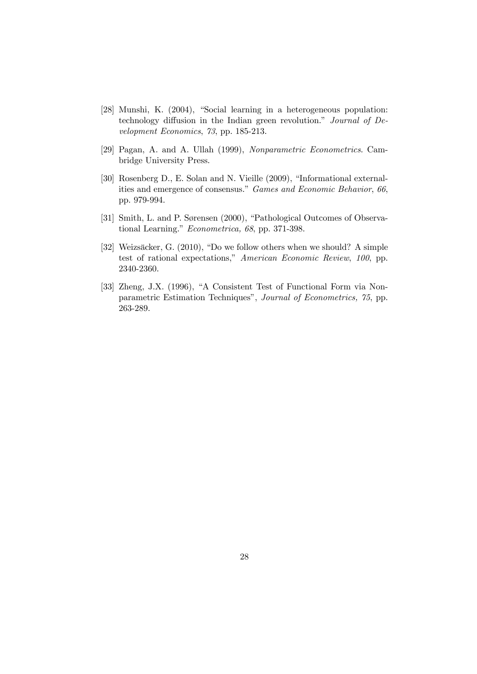- [28] Munshi, K. (2004), "Social learning in a heterogeneous population: technology diffusion in the Indian green revolution." Journal of Development Economics, 73, pp. 185-213.
- [29] Pagan, A. and A. Ullah (1999), Nonparametric Econometrics. Cambridge University Press.
- [30] Rosenberg D., E. Solan and N. Vieille (2009), "Informational externalities and emergence of consensus." Games and Economic Behavior, 66, pp. 979-994.
- [31] Smith, L. and P. Sørensen (2000), "Pathological Outcomes of Observational Learning." Econometrica, 68, pp. 371-398.
- [32] Weizsäcker, G. (2010), "Do we follow others when we should? A simple test of rational expectations," American Economic Review, 100, pp. 2340-2360.
- [33] Zheng, J.X. (1996), "A Consistent Test of Functional Form via Nonparametric Estimation Techniques", Journal of Econometrics, 75, pp. 263-289.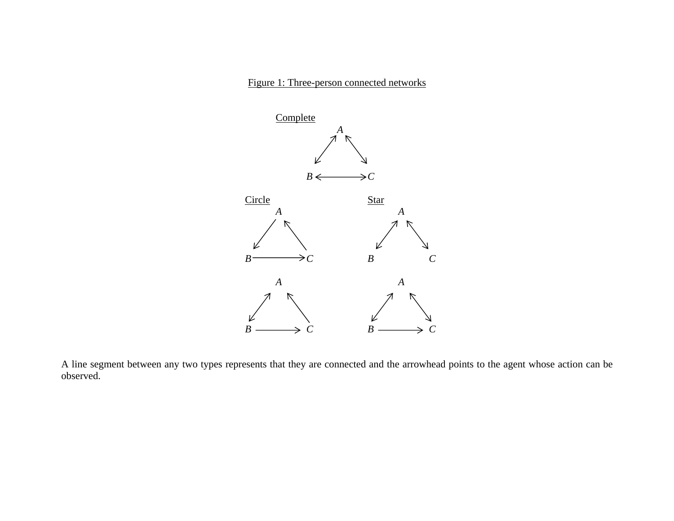Figure 1: Three-person connected networks



A line segment between any two types represents that they are connected and the arrowhead points to the agent whose action can be observed.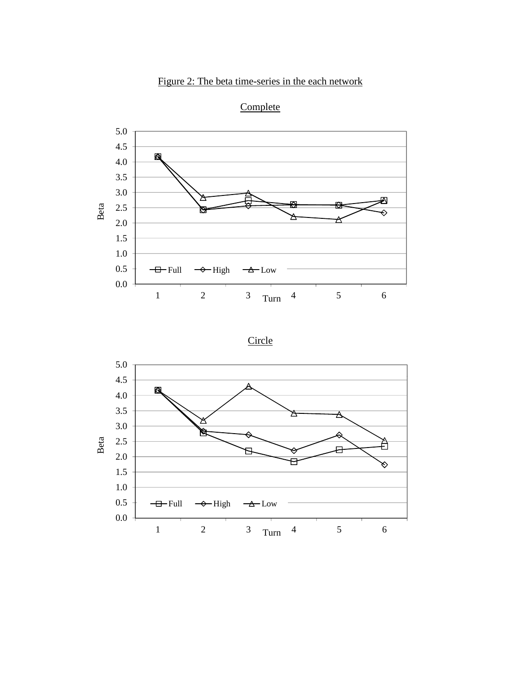



**Complete** 



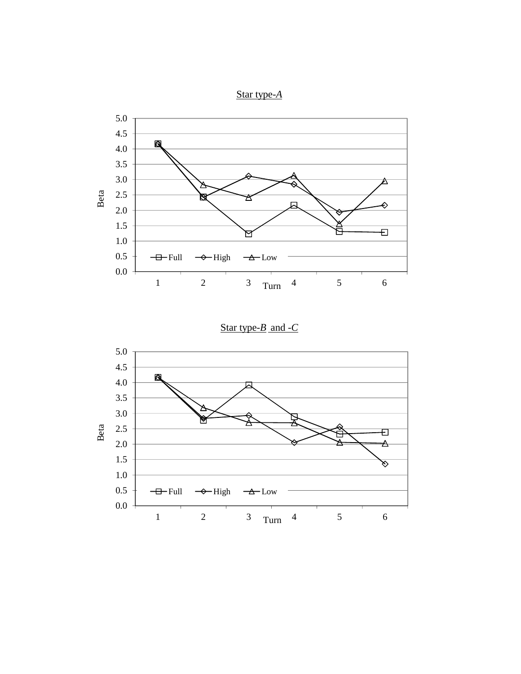



Star type-*B* and -*C*

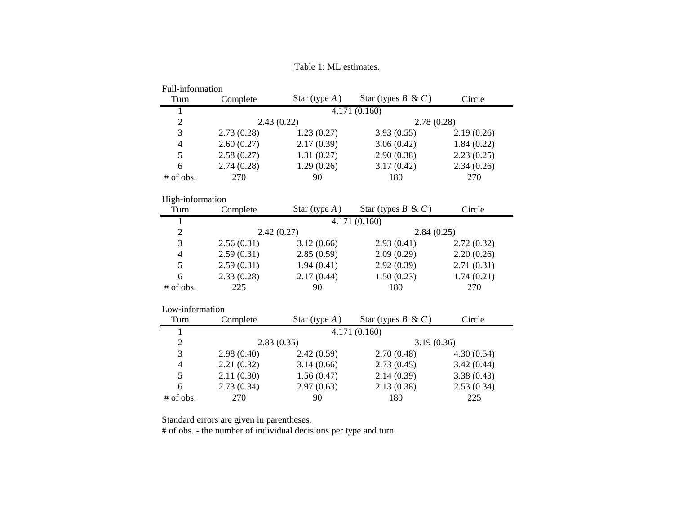| Full-information        |              |                  |                        |            |  |  |  |
|-------------------------|--------------|------------------|------------------------|------------|--|--|--|
| Turn                    | Complete     | Star (type $A$ ) | Star (types $B \& C$ ) | Circle     |  |  |  |
| 1                       | 4.171(0.160) |                  |                        |            |  |  |  |
| $\mathbf{2}$            | 2.43(0.22)   |                  | 2.78(0.28)             |            |  |  |  |
| $\overline{\mathbf{3}}$ | 2.73(0.28)   | 1.23(0.27)       | 3.93(0.55)             | 2.19(0.26) |  |  |  |
| $\overline{4}$          | 2.60(0.27)   | 2.17(0.39)       | 3.06(0.42)             | 1.84(0.22) |  |  |  |
| 5                       | 2.58(0.27)   | 1.31(0.27)       | 2.90(0.38)             | 2.23(0.25) |  |  |  |
| 6                       | 2.74(0.28)   | 1.29(0.26)       | 3.17(0.42)             | 2.34(0.26) |  |  |  |
| # of obs.               | 270          | 90               | 180                    | 270        |  |  |  |
| High-information        |              |                  |                        |            |  |  |  |
| Turn                    | Complete     | Star (type $A$ ) | Star (types $B \& C$ ) | Circle     |  |  |  |
|                         | 4.171(0.160) |                  |                        |            |  |  |  |
| $\sqrt{2}$              | 2.42(0.27)   |                  | 2.84(0.25)             |            |  |  |  |
| $\overline{3}$          | 2.56(0.31)   | 3.12(0.66)       | 2.93(0.41)             | 2.72(0.32) |  |  |  |
| $\overline{4}$          | 2.59(0.31)   | 2.85(0.59)       | 2.09(0.29)             | 2.20(0.26) |  |  |  |
| 5                       | 2.59(0.31)   | 1.94(0.41)       | 2.92(0.39)             | 2.71(0.31) |  |  |  |
| 6                       | 2.33(0.28)   | 2.17(0.44)       | 1.50(0.23)             | 1.74(0.21) |  |  |  |
| # of obs.               | 225          | 90               | 180                    | 270        |  |  |  |
| Low-information         |              |                  |                        |            |  |  |  |
| Turn                    | Complete     | Star (type $A$ ) | Star (types $B \& C$ ) | Circle     |  |  |  |
|                         | 4.171(0.160) |                  |                        |            |  |  |  |
| $\overline{2}$          | 2.83(0.35)   |                  | 3.19(0.36)             |            |  |  |  |
| $\overline{3}$          | 2.98(0.40)   | 2.42(0.59)       | 2.70(0.48)             | 4.30(0.54) |  |  |  |
| $\overline{4}$          | 2.21(0.32)   | 3.14(0.66)       | 2.73(0.45)             | 3.42(0.44) |  |  |  |
| 5                       | 2.11(0.30)   | 1.56(0.47)       | 2.14(0.39)             | 3.38(0.43) |  |  |  |
| 6                       | 2.73(0.34)   | 2.97(0.63)       | 2.13(0.38)             | 2.53(0.34) |  |  |  |
| # of obs.               | 270          | 90               | 180                    | 225        |  |  |  |

Table 1: ML estimates.

Standard errors are given in parentheses.

# of obs. - the number of individual decisions per type and turn.